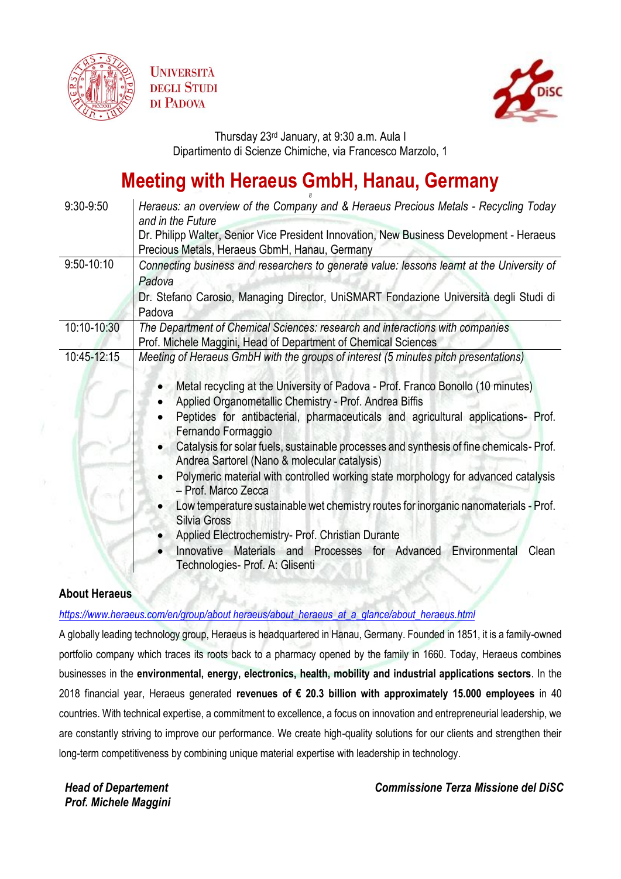





Thursday 23rd January, at 9:30 a.m. Aula I Dipartimento di Scienze Chimiche, via Francesco Marzolo, 1

## **Meeting with Heraeus GmbH, Hanau, Germany**

| $9:30-9:50$    | Heraeus: an overview of the Company and & Heraeus Precious Metals - Recycling Today        |
|----------------|--------------------------------------------------------------------------------------------|
|                | and in the Future                                                                          |
|                | Dr. Philipp Walter, Senior Vice President Innovation, New Business Development - Heraeus   |
|                | Precious Metals, Heraeus GbmH, Hanau, Germany                                              |
| $9:50 - 10:10$ | Connecting business and researchers to generate value: lessons learnt at the University of |
|                | Padova                                                                                     |
|                |                                                                                            |
|                | Dr. Stefano Carosio, Managing Director, UniSMART Fondazione Università degli Studi di      |
|                | Padova                                                                                     |
| 10:10-10:30    | The Department of Chemical Sciences: research and interactions with companies              |
|                | Prof. Michele Maggini, Head of Department of Chemical Sciences                             |
| 10:45-12:15    | Meeting of Heraeus GmbH with the groups of interest (5 minutes pitch presentations)        |
|                |                                                                                            |
|                | Metal recycling at the University of Padova - Prof. Franco Bonollo (10 minutes)            |
|                | Applied Organometallic Chemistry - Prof. Andrea Biffis                                     |
|                | Peptides for antibacterial, pharmaceuticals and agricultural applications- Prof.           |
|                | Fernando Formaggio                                                                         |
|                | Catalysis for solar fuels, sustainable processes and synthesis of fine chemicals-Prof.     |
|                | Andrea Sartorel (Nano & molecular catalysis)                                               |
|                | Polymeric material with controlled working state morphology for advanced catalysis         |
|                | - Prof. Marco Zecca                                                                        |
|                | Low temperature sustainable wet chemistry routes for inorganic nanomaterials - Prof.       |
|                | Silvia Gross                                                                               |
|                | Applied Electrochemistry- Prof. Christian Durante                                          |
|                | Innovative Materials and Processes for Advanced Environmental<br>Clean                     |
|                | Technologies- Prof. A: Glisenti                                                            |
|                |                                                                                            |
|                |                                                                                            |

## **About Heraeus**

*[https://www.heraeus.com/en/group/about heraeus/about\\_heraeus\\_at\\_a\\_glance/about\\_heraeus.html](https://www.heraeus.com/en/group/about%20heraeus/about_heraeus_at_a_glance/about_heraeus.html)*

A globally leading technology group, Heraeus is headquartered in Hanau, Germany. Founded in 1851, it is a family-owned portfolio company which traces its roots back to a pharmacy opened by the family in 1660. Today, Heraeus combines businesses in the **environmental, energy, electronics, health, mobility and industrial applications sectors**. In the 2018 financial year, Heraeus generated **revenues of € 20.3 billion with approximately 15.000 employees** in 40 countries. With technical expertise, a commitment to excellence, a focus on innovation and entrepreneurial leadership, we are constantly striving to improve our performance. We create high-quality solutions for our clients and strengthen their long-term competitiveness by combining unique material expertise with leadership in technology.

*Head of Departement Prof. Michele Maggini* *Commissione Terza Missione del DiSC*